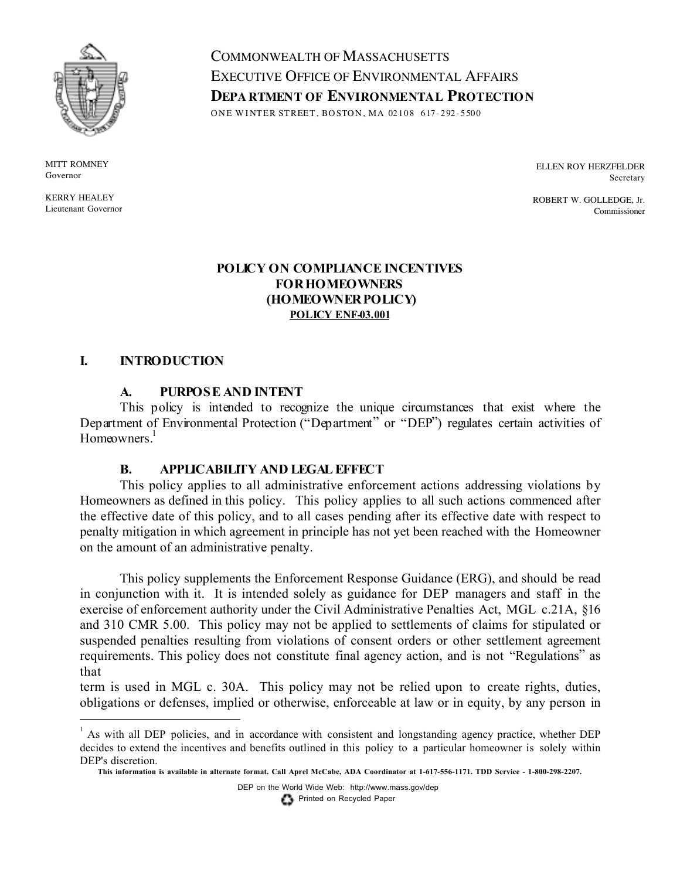

**MITT ROMNEY** Governor

KERRY HEALEY Lieutenant Governor COMMONWEALTH OF MASSACHUSETTS EXECUTIVE OFFICE OF ENVIRONMENTAL AFFAIRS **DEPA RTMENT OF ENVIRONMENTAL PROTECTION** ONE WINTER STREET, BOSTON, MA 02108 617-292-5500

> ELLEN ROY HERZFELDER Secretary

ROBERT W. GOLLEDGE, Jr. Commissioner

## **POLICY ON COMPLIANCEINCENTIVES FORHOMEOWNERS (HOMEOWNERPOLICY) POLICY ENF-03.001**

### **I. INTRODUCTION**

#### **A. PURPOSE AND INTENT**

This policy is intended to recognize the unique circumstances that exist where the Department of Environmental Protection ("Department" or "DEP") regulates certain activities of Homeowners.<sup>1</sup>

#### **B. APPLICABILITY AND LEGALEFFECT**

This policy applies to all administrative enforcement actions addressing violations by Homeowners as defined in this policy. This policy applies to all such actions commenced after the effective date of this policy, and to all cases pending after its effective date with respect to penalty mitigation in which agreement in principle has not yet been reached with the Homeowner on the amount of an administrative penalty.

This policy supplements the Enforcement Response Guidance (ERG), and should be read in conjunction with it. It is intended solely as guidance for DEP managers and staff in the exercise of enforcement authority under the Civil Administrative Penalties Act, MGL c.21A, §16 and 310 CMR 5.00. This policy may not be applied to settlements of claims for stipulated or suspended penalties resulting from violations of consent orders or other settlement agreement requirements. This policy does not constitute final agency action, and is not "Regulations" as that

term is used in MGL c. 30A. This policy may not be relied upon to create rights, duties, obligations or defenses, implied or otherwise, enforceable at law or in equity, by any person in

DEP on the World Wide Web: http://www.mass.gov/dep

**Printed on Recycled Paper** 

 $1$  As with all DEP policies, and in accordance with consistent and longstanding agency practice, whether DEP decides to extend the incentives and benefits outlined in this policy to a particular homeowner is solely within DEP's discretion.

This information is available in alternate format. Call Aprel McCabe, ADA Coordinator at 1-617-556-1171. TDD Service - 1-800-298-2207.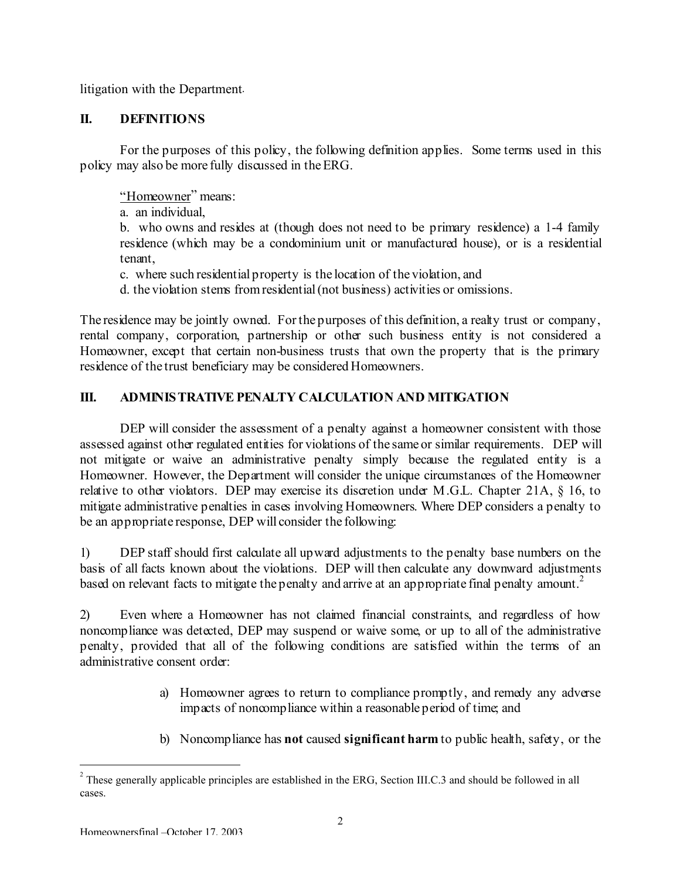litigation with the Department.

## **II. DEFINITIONS**

For the purposes of this policy, the following definition applies. Some terms used in this policy may also be more fully discussed in theERG.

"Homeowner" means:

a. an individual,

b. who owns and resides at (though does not need to be primary residence) a 1-4 family residence (which may be a condominium unit or manufactured house), or is a residential tenant,

c. where such residential property is the location of the violation, and

d. the violation stems fromresidential(not business) activities or omissions.

The residence may be jointly owned. For the purposes of this definition, a realty trust or company, rental company, corporation, partnership or other such business entity is not considered a Homeowner, except that certain non-business trusts that own the property that is the primary residence of the trust beneficiary may be considered Homeowners.

# **III. ADMINISTRATIVE PENALTY CALCULATION AND MITIGATION**

DEP will consider the assessment of a penalty against a homeowner consistent with those assessed against other regulated entities for violations of the same or similar requirements. DEP will not mitigate or waive an administrative penalty simply because the regulated entity is a Homeowner. However, the Department will consider the unique circumstances of the Homeowner relative to other violators. DEP may exercise its discretion under M.G.L. Chapter 21A, § 16, to mitigate administrative penalties in cases involving Homeowners. Where DEP considers a penalty to be an appropriate response, DEP will consider the following:

1) DEP staff should first calculate all upward adjustments to the penalty base numbers on the basis of all facts known about the violations. DEP will then calculate any downward adjustments based on relevant facts to mitigate the penalty and arrive at an appropriate final penalty amount.<sup>2</sup>

2) Even where a Homeowner has not claimed financial constraints, and regardless of how noncompliance was detected, DEP may suspend or waive some, or up to all of the administrative penalty, provided that all of the following conditions are satisfied within the terms of an administrative consent order:

- a) Homeowner agrees to return to compliance promptly, and remedy any adverse impacts of noncompliance within a reasonable period of time; and
- b) Noncompliance has **not** caused **significant harm** to public health, safety, or the

 $2^2$  These generally applicable principles are established in the ERG, Section III.C.3 and should be followed in all cases.